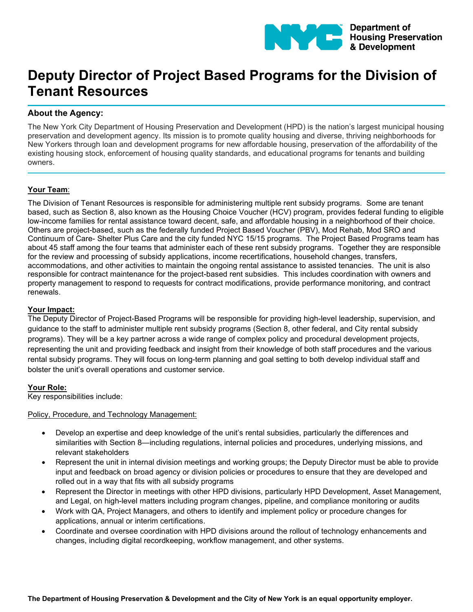

# **Deputy Director of Project Based Programs for the Division of Tenant Resources**

# **About the Agency:**

The New York City Department of Housing Preservation and Development (HPD) is the nation's largest municipal housing preservation and development agency. Its mission is to promote quality housing and diverse, thriving neighborhoods for New Yorkers through loan and development programs for new affordable housing, preservation of the affordability of the existing housing stock, enforcement of housing quality standards, and educational programs for tenants and building owners.

# **Your Team**:

The Division of Tenant Resources is responsible for administering multiple rent subsidy programs. Some are tenant based, such as Section 8, also known as the Housing Choice Voucher (HCV) program, provides federal funding to eligible low-income families for rental assistance toward decent, safe, and affordable housing in a neighborhood of their choice. Others are project-based, such as the federally funded Project Based Voucher (PBV), Mod Rehab, Mod SRO and Continuum of Care- Shelter Plus Care and the city funded NYC 15/15 programs. The Project Based Programs team has about 45 staff among the four teams that administer each of these rent subsidy programs. Together they are responsible for the review and processing of subsidy applications, income recertifications, household changes, transfers, accommodations, and other activities to maintain the ongoing rental assistance to assisted tenancies. The unit is also responsible for contract maintenance for the project-based rent subsidies. This includes coordination with owners and property management to respond to requests for contract modifications, provide performance monitoring, and contract renewals.

#### **Your Impact:**

The Deputy Director of Project-Based Programs will be responsible for providing high-level leadership, supervision, and guidance to the staff to administer multiple rent subsidy programs (Section 8, other federal, and City rental subsidy programs). They will be a key partner across a wide range of complex policy and procedural development projects, representing the unit and providing feedback and insight from their knowledge of both staff procedures and the various rental subsidy programs. They will focus on long-term planning and goal setting to both develop individual staff and bolster the unit's overall operations and customer service.

#### **Your Role:**

Key responsibilities include:

Policy, Procedure, and Technology Management:

- Develop an expertise and deep knowledge of the unit's rental subsidies, particularly the differences and similarities with Section 8—including regulations, internal policies and procedures, underlying missions, and relevant stakeholders
- Represent the unit in internal division meetings and working groups; the Deputy Director must be able to provide input and feedback on broad agency or division policies or procedures to ensure that they are developed and rolled out in a way that fits with all subsidy programs
- Represent the Director in meetings with other HPD divisions, particularly HPD Development, Asset Management, and Legal, on high-level matters including program changes, pipeline, and compliance monitoring or audits
- Work with QA, Project Managers, and others to identify and implement policy or procedure changes for applications, annual or interim certifications.
- Coordinate and oversee coordination with HPD divisions around the rollout of technology enhancements and changes, including digital recordkeeping, workflow management, and other systems.